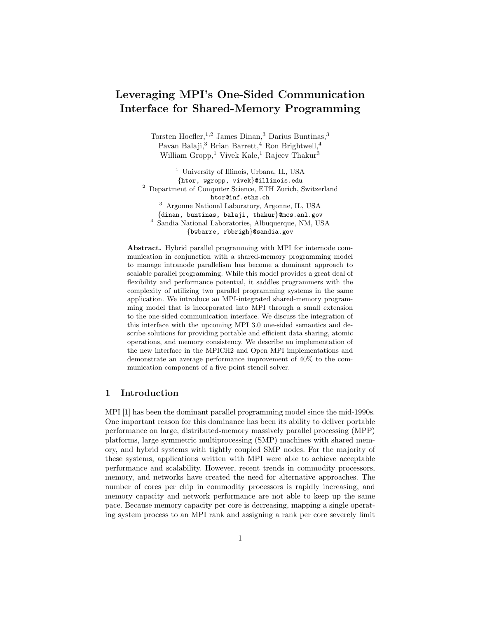# Leveraging MPI's One-Sided Communication Interface for Shared-Memory Programming

Torsten Hoefler,  $1,2$  James Dinan,  $3$  Darius Buntinas,  $3$ Pavan Balaji,<sup>3</sup> Brian Barrett,<sup>4</sup> Ron Brightwell,<sup>4</sup> William Gropp,<sup>1</sup> Vivek Kale,<sup>1</sup> Rajeev Thakur<sup>3</sup>

<sup>1</sup> University of Illinois, Urbana, IL, USA {htor, wgropp, vivek}@illinois.edu <sup>2</sup> Department of Computer Science, ETH Zurich, Switzerland htor@inf.ethz.ch <sup>3</sup> Argonne National Laboratory, Argonne, IL, USA {dinan, buntinas, balaji, thakur}@mcs.anl.gov <sup>4</sup> Sandia National Laboratories, Albuquerque, NM, USA {bwbarre, rbbrigh}@sandia.gov

Abstract. Hybrid parallel programming with MPI for internode communication in conjunction with a shared-memory programming model to manage intranode parallelism has become a dominant approach to scalable parallel programming. While this model provides a great deal of flexibility and performance potential, it saddles programmers with the complexity of utilizing two parallel programming systems in the same application. We introduce an MPI-integrated shared-memory programming model that is incorporated into MPI through a small extension to the one-sided communication interface. We discuss the integration of this interface with the upcoming MPI 3.0 one-sided semantics and describe solutions for providing portable and efficient data sharing, atomic operations, and memory consistency. We describe an implementation of the new interface in the MPICH2 and Open MPI implementations and demonstrate an average performance improvement of 40% to the communication component of a five-point stencil solver.

# 1 Introduction

MPI [1] has been the dominant parallel programming model since the mid-1990s. One important reason for this dominance has been its ability to deliver portable performance on large, distributed-memory massively parallel processing (MPP) platforms, large symmetric multiprocessing (SMP) machines with shared memory, and hybrid systems with tightly coupled SMP nodes. For the majority of these systems, applications written with MPI were able to achieve acceptable performance and scalability. However, recent trends in commodity processors, memory, and networks have created the need for alternative approaches. The number of cores per chip in commodity processors is rapidly increasing, and memory capacity and network performance are not able to keep up the same pace. Because memory capacity per core is decreasing, mapping a single operating system process to an MPI rank and assigning a rank per core severely limit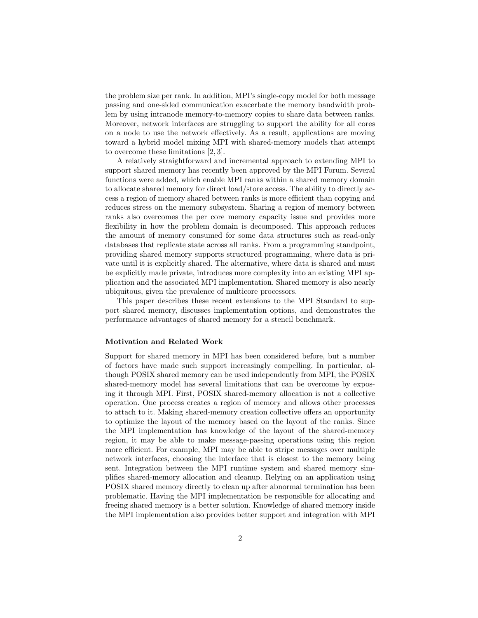the problem size per rank. In addition, MPI's single-copy model for both message passing and one-sided communication exacerbate the memory bandwidth problem by using intranode memory-to-memory copies to share data between ranks. Moreover, network interfaces are struggling to support the ability for all cores on a node to use the network effectively. As a result, applications are moving toward a hybrid model mixing MPI with shared-memory models that attempt to overcome these limitations [2, 3].

A relatively straightforward and incremental approach to extending MPI to support shared memory has recently been approved by the MPI Forum. Several functions were added, which enable MPI ranks within a shared memory domain to allocate shared memory for direct load/store access. The ability to directly access a region of memory shared between ranks is more efficient than copying and reduces stress on the memory subsystem. Sharing a region of memory between ranks also overcomes the per core memory capacity issue and provides more flexibility in how the problem domain is decomposed. This approach reduces the amount of memory consumed for some data structures such as read-only databases that replicate state across all ranks. From a programming standpoint, providing shared memory supports structured programming, where data is private until it is explicitly shared. The alternative, where data is shared and must be explicitly made private, introduces more complexity into an existing MPI application and the associated MPI implementation. Shared memory is also nearly ubiquitous, given the prevalence of multicore processors.

This paper describes these recent extensions to the MPI Standard to support shared memory, discusses implementation options, and demonstrates the performance advantages of shared memory for a stencil benchmark.

#### Motivation and Related Work

Support for shared memory in MPI has been considered before, but a number of factors have made such support increasingly compelling. In particular, although POSIX shared memory can be used independently from MPI, the POSIX shared-memory model has several limitations that can be overcome by exposing it through MPI. First, POSIX shared-memory allocation is not a collective operation. One process creates a region of memory and allows other processes to attach to it. Making shared-memory creation collective offers an opportunity to optimize the layout of the memory based on the layout of the ranks. Since the MPI implementation has knowledge of the layout of the shared-memory region, it may be able to make message-passing operations using this region more efficient. For example, MPI may be able to stripe messages over multiple network interfaces, choosing the interface that is closest to the memory being sent. Integration between the MPI runtime system and shared memory simplifies shared-memory allocation and cleanup. Relying on an application using POSIX shared memory directly to clean up after abnormal termination has been problematic. Having the MPI implementation be responsible for allocating and freeing shared memory is a better solution. Knowledge of shared memory inside the MPI implementation also provides better support and integration with MPI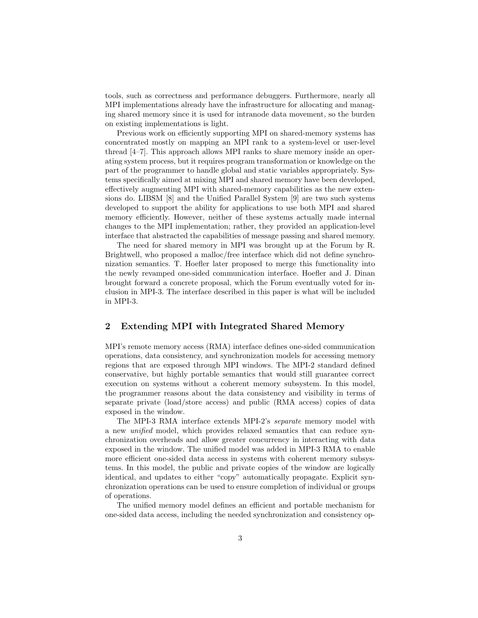tools, such as correctness and performance debuggers. Furthermore, nearly all MPI implementations already have the infrastructure for allocating and managing shared memory since it is used for intranode data movement, so the burden on existing implementations is light.

Previous work on efficiently supporting MPI on shared-memory systems has concentrated mostly on mapping an MPI rank to a system-level or user-level thread [4–7]. This approach allows MPI ranks to share memory inside an operating system process, but it requires program transformation or knowledge on the part of the programmer to handle global and static variables appropriately. Systems specifically aimed at mixing MPI and shared memory have been developed, effectively augmenting MPI with shared-memory capabilities as the new extensions do. LIBSM [8] and the Unified Parallel System [9] are two such systems developed to support the ability for applications to use both MPI and shared memory efficiently. However, neither of these systems actually made internal changes to the MPI implementation; rather, they provided an application-level interface that abstracted the capabilities of message passing and shared memory.

The need for shared memory in MPI was brought up at the Forum by R. Brightwell, who proposed a malloc/free interface which did not define synchronization semantics. T. Hoefler later proposed to merge this functionality into the newly revamped one-sided communication interface. Hoefler and J. Dinan brought forward a concrete proposal, which the Forum eventually voted for inclusion in MPI-3. The interface described in this paper is what will be included in MPI-3.

# 2 Extending MPI with Integrated Shared Memory

MPI's remote memory access (RMA) interface defines one-sided communication operations, data consistency, and synchronization models for accessing memory regions that are exposed through MPI windows. The MPI-2 standard defined conservative, but highly portable semantics that would still guarantee correct execution on systems without a coherent memory subsystem. In this model, the programmer reasons about the data consistency and visibility in terms of separate private (load/store access) and public (RMA access) copies of data exposed in the window.

The MPI-3 RMA interface extends MPI-2's separate memory model with a new unified model, which provides relaxed semantics that can reduce synchronization overheads and allow greater concurrency in interacting with data exposed in the window. The unified model was added in MPI-3 RMA to enable more efficient one-sided data access in systems with coherent memory subsystems. In this model, the public and private copies of the window are logically identical, and updates to either "copy" automatically propagate. Explicit synchronization operations can be used to ensure completion of individual or groups of operations.

The unified memory model defines an efficient and portable mechanism for one-sided data access, including the needed synchronization and consistency op-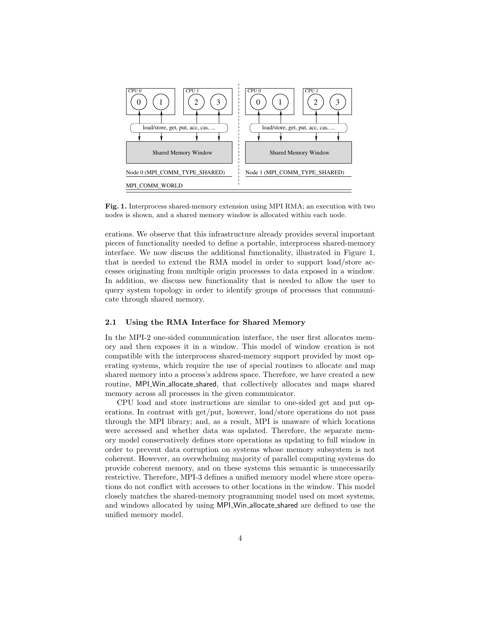

Fig. 1. Interprocess shared-memory extension using MPI RMA; an execution with two nodes is shown, and a shared memory window is allocated within each node.

erations. We observe that this infrastructure already provides several important pieces of functionality needed to define a portable, interprocess shared-memory interface. We now discuss the additional functionality, illustrated in Figure 1, that is needed to extend the RMA model in order to support load/store accesses originating from multiple origin processes to data exposed in a window. In addition, we discuss new functionality that is needed to allow the user to query system topology in order to identify groups of processes that communicate through shared memory.

#### 2.1 Using the RMA Interface for Shared Memory

In the MPI-2 one-sided communication interface, the user first allocates memory and then exposes it in a window. This model of window creation is not compatible with the interprocess shared-memory support provided by most operating systems, which require the use of special routines to allocate and map shared memory into a process's address space. Therefore, we have created a new routine, MPI Win allocate shared, that collectively allocates and maps shared memory across all processes in the given communicator.

CPU load and store instructions are similar to one-sided get and put operations. In contrast with get/put, however, load/store operations do not pass through the MPI library; and, as a result, MPI is unaware of which locations were accessed and whether data was updated. Therefore, the separate memory model conservatively defines store operations as updating to full window in order to prevent data corruption on systems whose memory subsystem is not coherent. However, an overwhelming majority of parallel computing systems do provide coherent memory, and on these systems this semantic is unnecessarily restrictive. Therefore, MPI-3 defines a unified memory model where store operations do not conflict with accesses to other locations in the window. This model closely matches the shared-memory programming model used on most systems, and windows allocated by using MPI Win allocate shared are defined to use the unified memory model.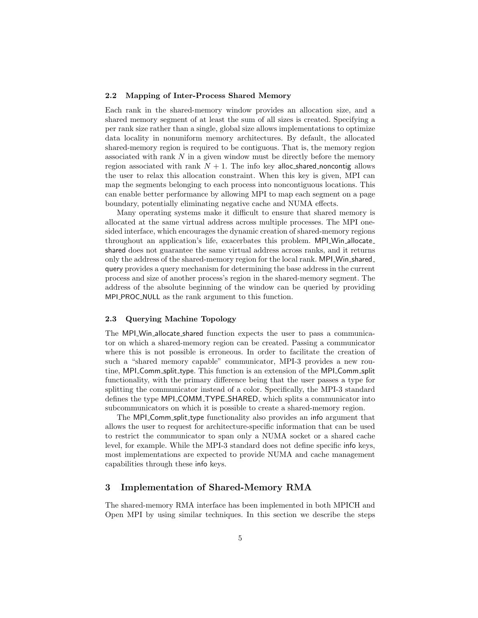#### 2.2 Mapping of Inter-Process Shared Memory

Each rank in the shared-memory window provides an allocation size, and a shared memory segment of at least the sum of all sizes is created. Specifying a per rank size rather than a single, global size allows implementations to optimize data locality in nonuniform memory architectures. By default, the allocated shared-memory region is required to be contiguous. That is, the memory region associated with rank  $N$  in a given window must be directly before the memory region associated with rank  $N + 1$ . The info key alloc shared noncontig allows the user to relax this allocation constraint. When this key is given, MPI can map the segments belonging to each process into noncontiguous locations. This can enable better performance by allowing MPI to map each segment on a page boundary, potentially eliminating negative cache and NUMA effects.

Many operating systems make it difficult to ensure that shared memory is allocated at the same virtual address across multiple processes. The MPI onesided interface, which encourages the dynamic creation of shared-memory regions throughout an application's life, exacerbates this problem. MPI Win allocate shared does not guarantee the same virtual address across ranks, and it returns only the address of the shared-memory region for the local rank. MPI Win shared query provides a query mechanism for determining the base address in the current process and size of another process's region in the shared-memory segment. The address of the absolute beginning of the window can be queried by providing MPI PROC NULL as the rank argument to this function.

#### 2.3 Querying Machine Topology

The MPI Win allocate shared function expects the user to pass a communicator on which a shared-memory region can be created. Passing a communicator where this is not possible is erroneous. In order to facilitate the creation of such a "shared memory capable" communicator, MPI-3 provides a new routine, MPI Comm split type. This function is an extension of the MPI Comm split functionality, with the primary difference being that the user passes a type for splitting the communicator instead of a color. Specifically, the MPI-3 standard defines the type MPI\_COMM\_TYPE\_SHARED, which splits a communicator into subcommunicators on which it is possible to create a shared-memory region.

The MPI Comm split type functionality also provides an info argument that allows the user to request for architecture-specific information that can be used to restrict the communicator to span only a NUMA socket or a shared cache level, for example. While the MPI-3 standard does not define specific info keys, most implementations are expected to provide NUMA and cache management capabilities through these info keys.

# 3 Implementation of Shared-Memory RMA

The shared-memory RMA interface has been implemented in both MPICH and Open MPI by using similar techniques. In this section we describe the steps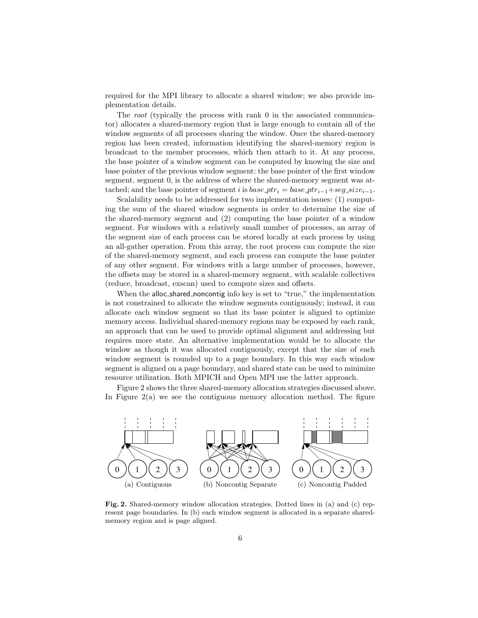required for the MPI library to allocate a shared window; we also provide implementation details.

The root (typically the process with rank 0 in the associated communicator) allocates a shared-memory region that is large enough to contain all of the window segments of all processes sharing the window. Once the shared-memory region has been created, information identifying the shared-memory region is broadcast to the member processes, which then attach to it. At any process, the base pointer of a window segment can be computed by knowing the size and base pointer of the previous window segment: the base pointer of the first window segment, segment 0, is the address of where the shared-memory segment was attached; and the base pointer of segment i is base\_ptr<sub>i</sub> = base\_ptr<sub>i-1</sub>+seg\_size<sub>i-1</sub>.

Scalability needs to be addressed for two implementation issues: (1) computing the sum of the shared window segments in order to determine the size of the shared-memory segment and (2) computing the base pointer of a window segment. For windows with a relatively small number of processes, an array of the segment size of each process can be stored locally at each process by using an all-gather operation. From this array, the root process can compute the size of the shared-memory segment, and each process can compute the base pointer of any other segment. For windows with a large number of processes, however, the offsets may be stored in a shared-memory segment, with scalable collectives (reduce, broadcast, exscan) used to compute sizes and offsets.

When the alloc\_shared\_noncontig info key is set to "true," the implementation is not constrained to allocate the window segments contiguously; instead, it can allocate each window segment so that its base pointer is aligned to optimize memory access. Individual shared-memory regions may be exposed by each rank, an approach that can be used to provide optimal alignment and addressing but requires more state. An alternative implementation would be to allocate the window as though it was allocated contiguously, except that the size of each window segment is rounded up to a page boundary. In this way each window segment is aligned on a page boundary, and shared state can be used to minimize resource utilization. Both MPICH and Open MPI use the latter approach.

Figure 2 shows the three shared-memory allocation strategies discussed above. In Figure  $2(a)$  we see the contiguous memory allocation method. The figure



Fig. 2. Shared-memory window allocation strategies. Dotted lines in (a) and (c) represent page boundaries. In (b) each window segment is allocated in a separate sharedmemory region and is page aligned.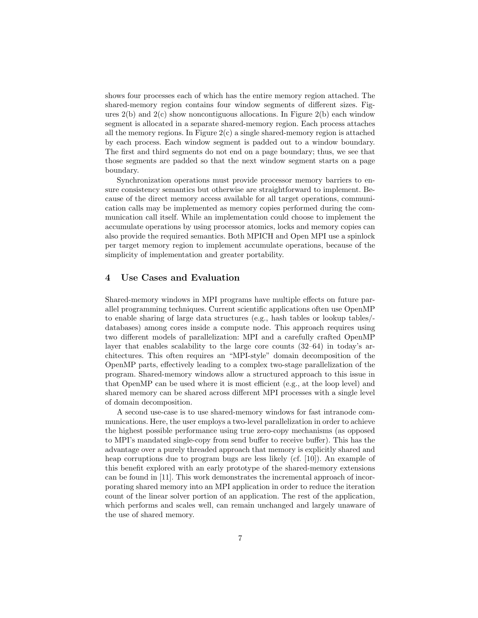shows four processes each of which has the entire memory region attached. The shared-memory region contains four window segments of different sizes. Figures  $2(b)$  and  $2(c)$  show noncontiguous allocations. In Figure  $2(b)$  each window segment is allocated in a separate shared-memory region. Each process attaches all the memory regions. In Figure  $2(c)$  a single shared-memory region is attached by each process. Each window segment is padded out to a window boundary. The first and third segments do not end on a page boundary; thus, we see that those segments are padded so that the next window segment starts on a page boundary.

Synchronization operations must provide processor memory barriers to ensure consistency semantics but otherwise are straightforward to implement. Because of the direct memory access available for all target operations, communication calls may be implemented as memory copies performed during the communication call itself. While an implementation could choose to implement the accumulate operations by using processor atomics, locks and memory copies can also provide the required semantics. Both MPICH and Open MPI use a spinlock per target memory region to implement accumulate operations, because of the simplicity of implementation and greater portability.

## 4 Use Cases and Evaluation

Shared-memory windows in MPI programs have multiple effects on future parallel programming techniques. Current scientific applications often use OpenMP to enable sharing of large data structures (e.g., hash tables or lookup tables/ databases) among cores inside a compute node. This approach requires using two different models of parallelization: MPI and a carefully crafted OpenMP layer that enables scalability to the large core counts (32–64) in today's architectures. This often requires an "MPI-style" domain decomposition of the OpenMP parts, effectively leading to a complex two-stage parallelization of the program. Shared-memory windows allow a structured approach to this issue in that OpenMP can be used where it is most efficient (e.g., at the loop level) and shared memory can be shared across different MPI processes with a single level of domain decomposition.

A second use-case is to use shared-memory windows for fast intranode communications. Here, the user employs a two-level parallelization in order to achieve the highest possible performance using true zero-copy mechanisms (as opposed to MPI's mandated single-copy from send buffer to receive buffer). This has the advantage over a purely threaded approach that memory is explicitly shared and heap corruptions due to program bugs are less likely (cf. [10]). An example of this benefit explored with an early prototype of the shared-memory extensions can be found in [11]. This work demonstrates the incremental approach of incorporating shared memory into an MPI application in order to reduce the iteration count of the linear solver portion of an application. The rest of the application, which performs and scales well, can remain unchanged and largely unaware of the use of shared memory.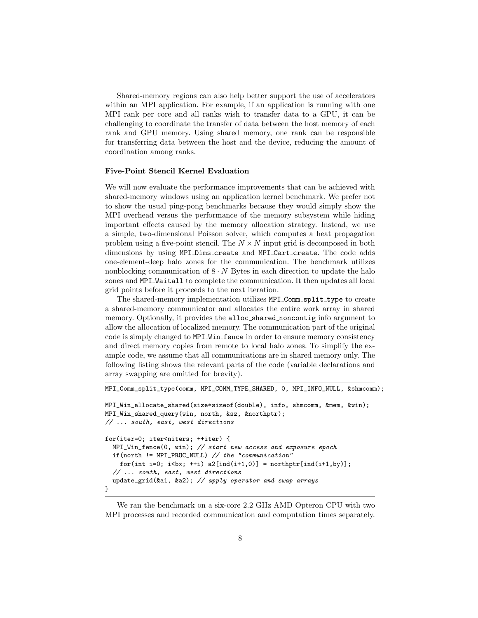Shared-memory regions can also help better support the use of accelerators within an MPI application. For example, if an application is running with one MPI rank per core and all ranks wish to transfer data to a GPU, it can be challenging to coordinate the transfer of data between the host memory of each rank and GPU memory. Using shared memory, one rank can be responsible for transferring data between the host and the device, reducing the amount of coordination among ranks.

#### Five-Point Stencil Kernel Evaluation

We will now evaluate the performance improvements that can be achieved with shared-memory windows using an application kernel benchmark. We prefer not to show the usual ping-pong benchmarks because they would simply show the MPI overhead versus the performance of the memory subsystem while hiding important effects caused by the memory allocation strategy. Instead, we use a simple, two-dimensional Poisson solver, which computes a heat propagation problem using a five-point stencil. The  $N \times N$  input grid is decomposed in both dimensions by using MPI Dims create and MPI Cart create. The code adds one-element-deep halo zones for the communication. The benchmark utilizes nonblocking communication of  $8 \cdot N$  Bytes in each direction to update the halo zones and MPI Waitall to complete the communication. It then updates all local grid points before it proceeds to the next iteration.

The shared-memory implementation utilizes MPI Comm split type to create a shared-memory communicator and allocates the entire work array in shared memory. Optionally, it provides the alloc shared noncontig info argument to allow the allocation of localized memory. The communication part of the original code is simply changed to MPI Win fence in order to ensure memory consistency and direct memory copies from remote to local halo zones. To simplify the example code, we assume that all communications are in shared memory only. The following listing shows the relevant parts of the code (variable declarations and array swapping are omitted for brevity).

MPI\_Comm\_split\_type(comm, MPI\_COMM\_TYPE\_SHARED, 0, MPI\_INFO\_NULL, &shmcomm);

```
MPI_Win_allocate_shared(size*sizeof(double), info, shmcomm, &mem, &win);
MPI_Win_shared_query(win, north, &sz, &northptr);
// ... south, east, west directions
for(iter=0; iter<niters; ++iter) {
 MPI_Win_fence(0, win); // start new access and exposure epoch
 if(north != MPI_PROC_NULL) // the "communication"
    for(int i=0; i<br/>kx; ++i) a2[ind(i+1,0)] = northptr[ind(i+1,by)];
 // ... south, east, west directions
 update_grid(&a1, &a2); // apply operator and swap arrays
}
```
We ran the benchmark on a six-core 2.2 GHz AMD Opteron CPU with two MPI processes and recorded communication and computation times separately.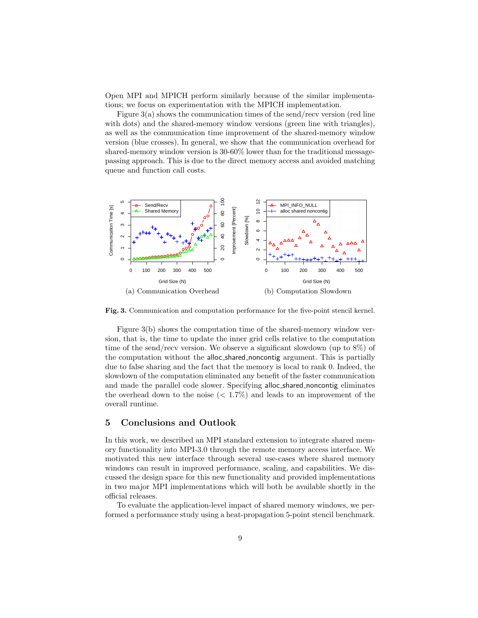Open MPI and MPICH perform similarly because of the similar implementations; we focus on experimentation with the MPICH implementation.

Figure  $3(a)$  shows the communication times of the send/recv version (red line with dots) and the shared-memory window versions (green line with triangles), as well as the communication time improvement of the shared-memory window version (blue crosses). In general, we show that the communication overhead for shared-memory window version is 30-60% lower than for the traditional messagepassing approach. This is due to the direct memory access and avoided matching queue and function call costs.



Fig. 3. Communication and computation performance for the five-point stencil kernel.

Figure  $3(b)$  shows the computation time of the shared-memory window version, that is, the time to update the inner grid cells relative to the computation time of the send/recv version. We observe a significant slowdown (up to 8%) of the computation without the alloc shared noncontig argument. This is partially due to false sharing and the fact that the memory is local to rank 0. Indeed, the slowdown of the computation eliminated any benefit of the faster communication and made the parallel code slower. Specifying alloc\_shared\_noncontig eliminates the overhead down to the noise  $\left($  < 1.7%) and leads to an improvement of the overall runtime.

# 5 Conclusions and Outlook

In this work, we described an MPI standard extension to integrate shared memory functionality into MPI-3.0 through the remote memory access interface. We motivated this new interface through several use-cases where shared memory windows can result in improved performance, scaling, and capabilities. We discussed the design space for this new functionality and provided implementations in two major MPI implementations which will both be available shortly in the official releases.

To evaluate the application-level impact of shared memory windows, we performed a performance study using a heat-propagation 5-point stencil benchmark.